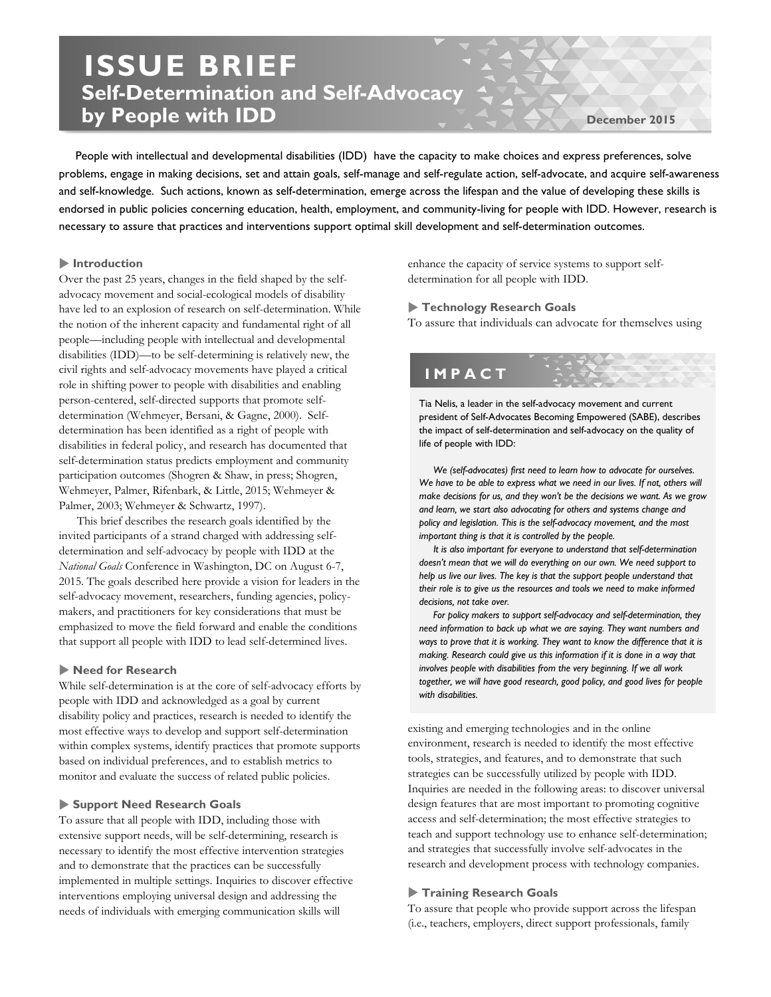# **ISSUE BRIEF Self-Determination and Self-Advocacy by People with IDD**

**December 2015**

 People with intellectual and developmental disabilities (IDD) have the capacity to make choices and express preferences, solve problems, engage in making decisions, set and attain goals, self-manage and self-regulate action, self-advocate, and acquire self-awareness and self-knowledge. Such actions, known as self-determination, emerge across the lifespan and the value of developing these skills is endorsed in public policies concerning education, health, employment, and community-living for people with IDD. However, research is necessary to assure that practices and interventions support optimal skill development and self-determination outcomes.

### **Introduction**

Over the past 25 years, changes in the field shaped by the selfadvocacy movement and social-ecological models of disability have led to an explosion of research on self-determination. While the notion of the inherent capacity and fundamental right of all people—including people with intellectual and developmental disabilities (IDD)—to be self-determining is relatively new, the civil rights and self-advocacy movements have played a critical role in shifting power to people with disabilities and enabling person-centered, self-directed supports that promote selfdetermination (Wehmeyer, Bersani, & Gagne, 2000). Selfdetermination has been identified as a right of people with disabilities in federal policy, and research has documented that self-determination status predicts employment and community participation outcomes (Shogren & Shaw, in press; Shogren, Wehmeyer, Palmer, Rifenbark, & Little, 2015; Wehmeyer & Palmer, 2003; Wehmeyer & Schwartz, 1997).

This brief describes the research goals identified by the invited participants of a strand charged with addressing selfdetermination and self-advocacy by people with IDD at the *National Goals* Conference in Washington, DC on August 6-7, 2015. The goals described here provide a vision for leaders in the self-advocacy movement, researchers, funding agencies, policymakers, and practitioners for key considerations that must be emphasized to move the field forward and enable the conditions that support all people with IDD to lead self-determined lives.

#### **Need for Research**

While self-determination is at the core of self-advocacy efforts by people with IDD and acknowledged as a goal by current disability policy and practices, research is needed to identify the most effective ways to develop and support self-determination within complex systems, identify practices that promote supports based on individual preferences, and to establish metrics to monitor and evaluate the success of related public policies.

## **Support Need Research Goals**

To assure that all people with IDD, including those with extensive support needs, will be self-determining, research is necessary to identify the most effective intervention strategies and to demonstrate that the practices can be successfully implemented in multiple settings. Inquiries to discover effective interventions employing universal design and addressing the needs of individuals with emerging communication skills will

enhance the capacity of service systems to support selfdetermination for all people with IDD.

# **Technology Research Goals**

To assure that individuals can advocate for themselves using

# **IMPACT**

Tia Nelis, a leader in the self-advocacy movement and current president of Self-Advocates Becoming Empowered (SABE), describes the impact of self-determination and self-advocacy on the quality of life of people with IDD:

 *We (self-advocates) first need to learn how to advocate for ourselves.*  We have to be able to express what we need in our lives. If not, others will *make decisions for us, and they won't be the decisions we want. As we grow and learn, we start also advocating for others and systems change and policy and legislation. This is the self-advocacy movement, and the most important thing is that it is controlled by the people.*

 *It is also important for everyone to understand that self-determination doesn't mean that we will do everything on our own. We need support to help us live our lives. The key is that the support people understand that their role is to give us the resources and tools we need to make informed decisions, not take over.*

 *For policy makers to support self-advocacy and self-determination, they need information to back up what we are saying. They want numbers and ways to prove that it is working. They want to know the difference that it is making. Research could give us this information if it is done in a way that involves people with disabilities from the very beginning. If we all work together, we will have good research, good policy, and good lives for people with disabilities.*

existing and emerging technologies and in the online environment, research is needed to identify the most effective tools, strategies, and features, and to demonstrate that such strategies can be successfully utilized by people with IDD. Inquiries are needed in the following areas: to discover universal design features that are most important to promoting cognitive access and self-determination; the most effective strategies to teach and support technology use to enhance self-determination; and strategies that successfully involve self-advocates in the research and development process with technology companies.

# **Training Research Goals**

To assure that people who provide support across the lifespan (i.e., teachers, employers, direct support professionals, family